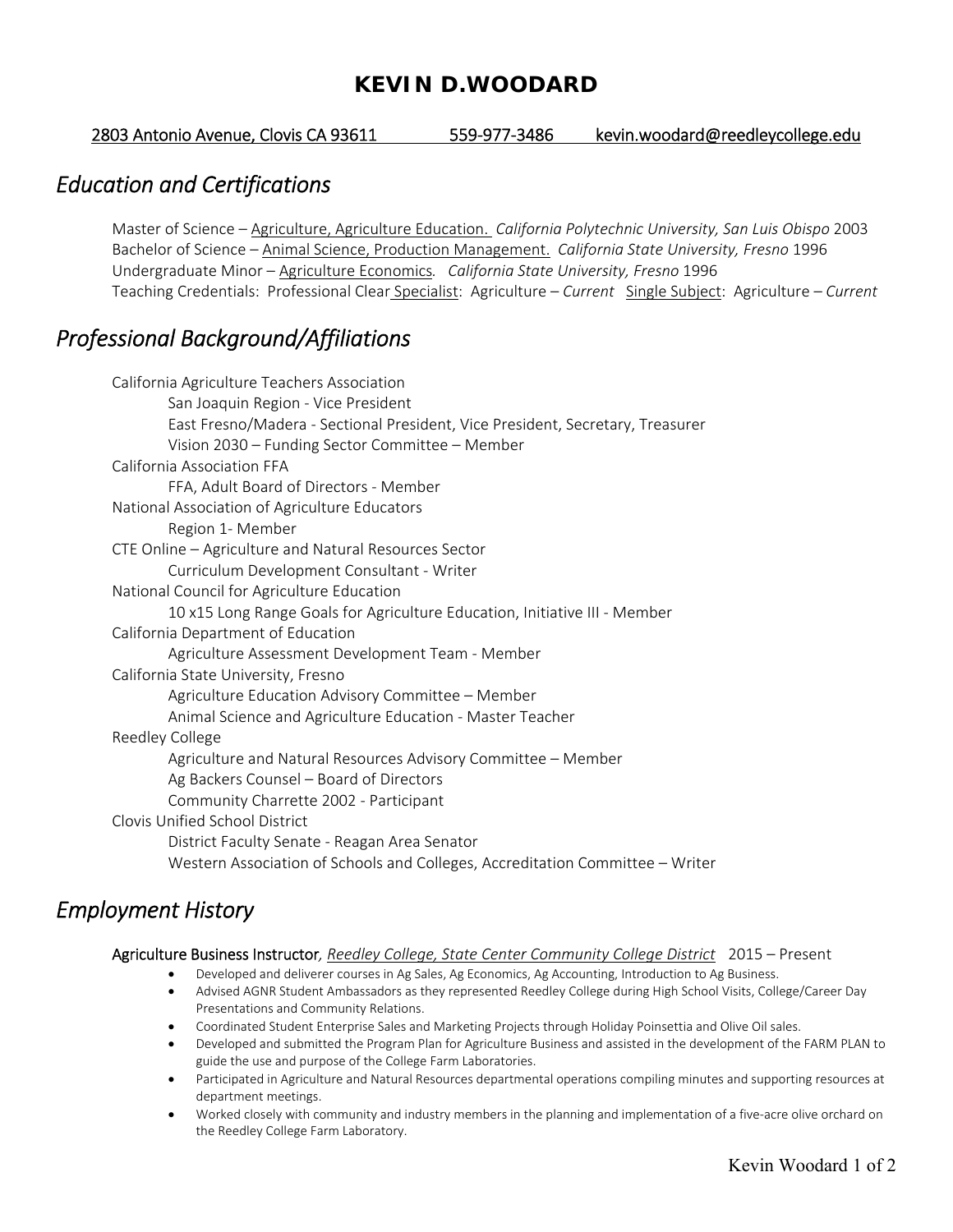### **KEVIN D.WOODARD**

2803 Antonio Avenue, Clovis CA 93611 559‐977‐3486 kevin.woodard@reedleycollege.edu

### *Education and Certifications*

 Master of Science – Agriculture, Agriculture Education. *California Polytechnic University, San Luis Obispo* 2003 Bachelor of Science – Animal Science, Production Management. *California State University, Fresno* 1996 Undergraduate Minor – Agriculture Economics*. California State University, Fresno* 1996 Teaching Credentials: Professional Clear Specialist: Agriculture – *Current* Single Subject: Agriculture – *Current* 

# *Professional Background/Affiliations*

| California Agriculture Teachers Association                                    |
|--------------------------------------------------------------------------------|
| San Joaquin Region - Vice President                                            |
| East Fresno/Madera - Sectional President, Vice President, Secretary, Treasurer |
| Vision 2030 - Funding Sector Committee - Member                                |
| California Association FFA                                                     |
| FFA, Adult Board of Directors - Member                                         |
| National Association of Agriculture Educators                                  |
| Region 1- Member                                                               |
| CTE Online - Agriculture and Natural Resources Sector                          |
| Curriculum Development Consultant - Writer                                     |
| National Council for Agriculture Education                                     |
| 10 x15 Long Range Goals for Agriculture Education, Initiative III - Member     |
| California Department of Education                                             |
| Agriculture Assessment Development Team - Member                               |
| California State University, Fresno                                            |
| Agriculture Education Advisory Committee - Member                              |
| Animal Science and Agriculture Education - Master Teacher                      |
| Reedley College                                                                |
| Agriculture and Natural Resources Advisory Committee - Member                  |
| Ag Backers Counsel - Board of Directors                                        |
| Community Charrette 2002 - Participant                                         |
| Clovis Unified School District                                                 |
| District Faculty Senate - Reagan Area Senator                                  |
| Western Association of Schools and Colleges, Accreditation Committee - Writer  |
|                                                                                |

## *Employment History*

Agriculture Business Instructor, Reedley College, State Center Community College District 2015 - Present

- Developed and deliverer courses in Ag Sales, Ag Economics, Ag Accounting, Introduction to Ag Business.
- Advised AGNR Student Ambassadors as they represented Reedley College during High School Visits, College/Career Day Presentations and Community Relations.
- Coordinated Student Enterprise Sales and Marketing Projects through Holiday Poinsettia and Olive Oil sales.
- Developed and submitted the Program Plan for Agriculture Business and assisted in the development of the FARM PLAN to guide the use and purpose of the College Farm Laboratories.
- Participated in Agriculture and Natural Resources departmental operations compiling minutes and supporting resources at department meetings.
- Worked closely with community and industry members in the planning and implementation of a five-acre olive orchard on the Reedley College Farm Laboratory.